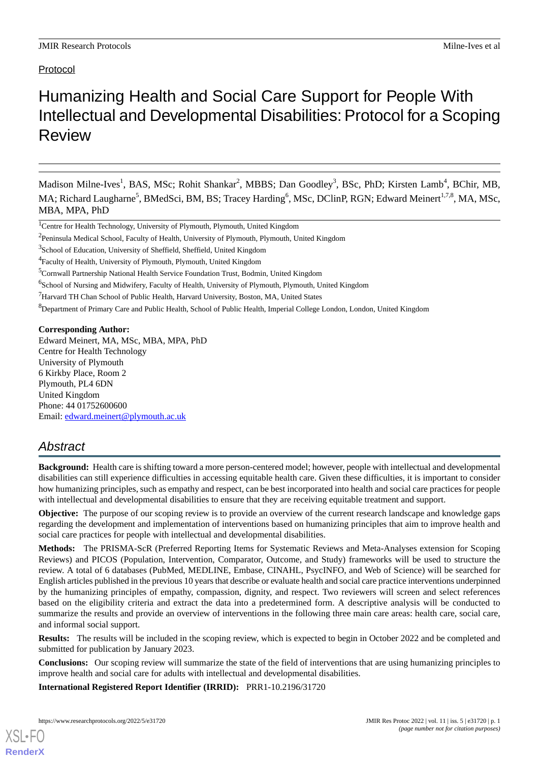### Protocol

# Humanizing Health and Social Care Support for People With Intellectual and Developmental Disabilities: Protocol for a Scoping Review

Madison Milne-Ives<sup>1</sup>, BAS, MSc; Rohit Shankar<sup>2</sup>, MBBS; Dan Goodley<sup>3</sup>, BSc, PhD; Kirsten Lamb<sup>4</sup>, BChir, MB, MA; Richard Laugharne<sup>5</sup>, BMedSci, BM, BS; Tracey Harding<sup>6</sup>, MSc, DClinP, RGN; Edward Meinert<sup>1,7,8</sup>, MA, MSc, MBA, MPA, PhD

<sup>8</sup>Department of Primary Care and Public Health, School of Public Health, Imperial College London, London, United Kingdom

#### **Corresponding Author:**

Edward Meinert, MA, MSc, MBA, MPA, PhD Centre for Health Technology University of Plymouth 6 Kirkby Place, Room 2 Plymouth, PL4 6DN United Kingdom Phone: 44 01752600600 Email: [edward.meinert@plymouth.ac.uk](mailto:edward.meinert@plymouth.ac.uk)

## *Abstract*

**Background:** Health care is shifting toward a more person-centered model; however, people with intellectual and developmental disabilities can still experience difficulties in accessing equitable health care. Given these difficulties, it is important to consider how humanizing principles, such as empathy and respect, can be best incorporated into health and social care practices for people with intellectual and developmental disabilities to ensure that they are receiving equitable treatment and support.

**Objective:** The purpose of our scoping review is to provide an overview of the current research landscape and knowledge gaps regarding the development and implementation of interventions based on humanizing principles that aim to improve health and social care practices for people with intellectual and developmental disabilities.

**Methods:** The PRISMA-ScR (Preferred Reporting Items for Systematic Reviews and Meta-Analyses extension for Scoping Reviews) and PICOS (Population, Intervention, Comparator, Outcome, and Study) frameworks will be used to structure the review. A total of 6 databases (PubMed, MEDLINE, Embase, CINAHL, PsycINFO, and Web of Science) will be searched for English articles published in the previous 10 years that describe or evaluate health and social care practice interventions underpinned by the humanizing principles of empathy, compassion, dignity, and respect. Two reviewers will screen and select references based on the eligibility criteria and extract the data into a predetermined form. A descriptive analysis will be conducted to summarize the results and provide an overview of interventions in the following three main care areas: health care, social care, and informal social support.

**Results:** The results will be included in the scoping review, which is expected to begin in October 2022 and be completed and submitted for publication by January 2023.

**Conclusions:** Our scoping review will summarize the state of the field of interventions that are using humanizing principles to improve health and social care for adults with intellectual and developmental disabilities.

**International Registered Report Identifier (IRRID):** PRR1-10.2196/31720

[XSL](http://www.w3.org/Style/XSL)•FO **[RenderX](http://www.renderx.com/)**

<sup>1</sup>Centre for Health Technology, University of Plymouth, Plymouth, United Kingdom

<sup>&</sup>lt;sup>2</sup>Peninsula Medical School, Faculty of Health, University of Plymouth, Plymouth, United Kingdom

<sup>&</sup>lt;sup>3</sup>School of Education, University of Sheffield, Sheffield, United Kingdom

<sup>&</sup>lt;sup>4</sup> Faculty of Health, University of Plymouth, Plymouth, United Kingdom

<sup>5</sup>Cornwall Partnership National Health Service Foundation Trust, Bodmin, United Kingdom

<sup>&</sup>lt;sup>6</sup>School of Nursing and Midwifery, Faculty of Health, University of Plymouth, Plymouth, United Kingdom

<sup>&</sup>lt;sup>7</sup>Harvard TH Chan School of Public Health, Harvard University, Boston, MA, United States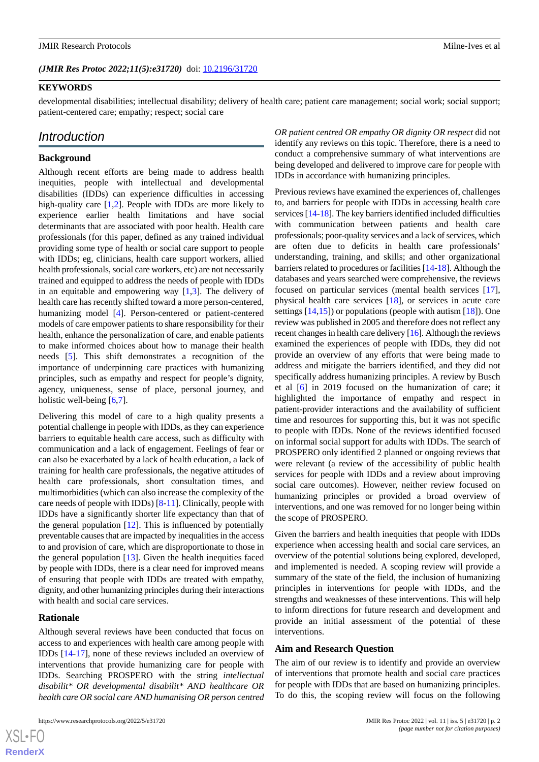#### (JMIR Res Protoc 2022;11(5):e31720) doi: [10.2196/31720](http://dx.doi.org/10.2196/31720)

#### **KEYWORDS**

developmental disabilities; intellectual disability; delivery of health care; patient care management; social work; social support; patient-centered care; empathy; respect; social care

## *Introduction*

#### **Background**

Although recent efforts are being made to address health inequities, people with intellectual and developmental disabilities (IDDs) can experience difficulties in accessing high-quality care  $[1,2]$  $[1,2]$  $[1,2]$ . People with IDDs are more likely to experience earlier health limitations and have social determinants that are associated with poor health. Health care professionals (for this paper, defined as any trained individual providing some type of health or social care support to people with IDDs; eg, clinicians, health care support workers, allied health professionals, social care workers, etc) are not necessarily trained and equipped to address the needs of people with IDDs in an equitable and empowering way  $[1,3]$  $[1,3]$  $[1,3]$  $[1,3]$ . The delivery of health care has recently shifted toward a more person-centered, humanizing model [\[4](#page-5-3)]. Person-centered or patient-centered models of care empower patients to share responsibility for their health, enhance the personalization of care, and enable patients to make informed choices about how to manage their health needs [\[5](#page-5-4)]. This shift demonstrates a recognition of the importance of underpinning care practices with humanizing principles, such as empathy and respect for people's dignity, agency, uniqueness, sense of place, personal journey, and holistic well-being [\[6](#page-5-5),[7\]](#page-5-6).

Delivering this model of care to a high quality presents a potential challenge in people with IDDs, as they can experience barriers to equitable health care access, such as difficulty with communication and a lack of engagement. Feelings of fear or can also be exacerbated by a lack of health education, a lack of training for health care professionals, the negative attitudes of health care professionals, short consultation times, and multimorbidities (which can also increase the complexity of the care needs of people with IDDs) [[8](#page-5-7)-[11\]](#page-5-8). Clinically, people with IDDs have a significantly shorter life expectancy than that of the general population [\[12](#page-5-9)]. This is influenced by potentially preventable causes that are impacted by inequalities in the access to and provision of care, which are disproportionate to those in the general population  $[13]$  $[13]$ . Given the health inequities faced by people with IDDs, there is a clear need for improved means of ensuring that people with IDDs are treated with empathy, dignity, and other humanizing principles during their interactions with health and social care services.

#### **Rationale**

Although several reviews have been conducted that focus on access to and experiences with health care among people with IDDs [\[14](#page-6-1)-[17\]](#page-6-2), none of these reviews included an overview of interventions that provide humanizing care for people with IDDs. Searching PROSPERO with the string *intellectual disabilit\* OR developmental disabilit\* AND healthcare OR health care OR social care AND humanising OR person centred* *OR patient centred OR empathy OR dignity OR respect* did not identify any reviews on this topic. Therefore, there is a need to conduct a comprehensive summary of what interventions are being developed and delivered to improve care for people with IDDs in accordance with humanizing principles.

Previous reviews have examined the experiences of, challenges to, and barriers for people with IDDs in accessing health care services [\[14](#page-6-1)-[18](#page-6-3)]. The key barriers identified included difficulties with communication between patients and health care professionals; poor-quality services and a lack of services, which are often due to deficits in health care professionals' understanding, training, and skills; and other organizational barriers related to procedures or facilities [\[14](#page-6-1)[-18](#page-6-3)]. Although the databases and years searched were comprehensive, the reviews focused on particular services (mental health services [[17\]](#page-6-2), physical health care services [\[18](#page-6-3)], or services in acute care settings [[14,](#page-6-1)[15](#page-6-4)]) or populations (people with autism [[18\]](#page-6-3)). One review was published in 2005 and therefore does not reflect any recent changes in health care delivery [[16\]](#page-6-5). Although the reviews examined the experiences of people with IDDs, they did not provide an overview of any efforts that were being made to address and mitigate the barriers identified, and they did not specifically address humanizing principles. A review by Busch et al [\[6](#page-5-5)] in 2019 focused on the humanization of care; it highlighted the importance of empathy and respect in patient-provider interactions and the availability of sufficient time and resources for supporting this, but it was not specific to people with IDDs. None of the reviews identified focused on informal social support for adults with IDDs. The search of PROSPERO only identified 2 planned or ongoing reviews that were relevant (a review of the accessibility of public health services for people with IDDs and a review about improving social care outcomes). However, neither review focused on humanizing principles or provided a broad overview of interventions, and one was removed for no longer being within the scope of PROSPERO.

Given the barriers and health inequities that people with IDDs experience when accessing health and social care services, an overview of the potential solutions being explored, developed, and implemented is needed. A scoping review will provide a summary of the state of the field, the inclusion of humanizing principles in interventions for people with IDDs, and the strengths and weaknesses of these interventions. This will help to inform directions for future research and development and provide an initial assessment of the potential of these interventions.

#### **Aim and Research Question**

The aim of our review is to identify and provide an overview of interventions that promote health and social care practices for people with IDDs that are based on humanizing principles. To do this, the scoping review will focus on the following

 $XS$  • FO

**[RenderX](http://www.renderx.com/)**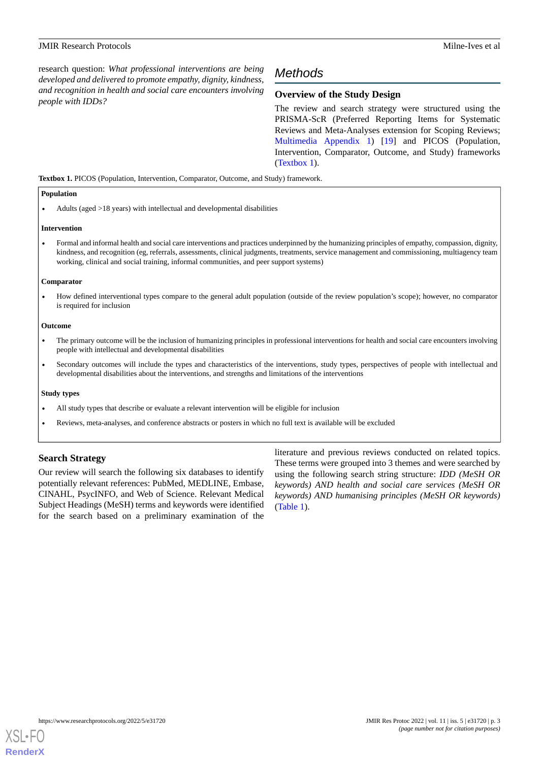#### **JMIR Research Protocols** Milne-Ives et al. **Milne-Ives et al.** Milne-Ives et al. **Milne-Ives et al.** Milne-Ives et al. **Milne-Ives et al. Milne-Ives et al. Milne-Ives et al. Milne-Ives et al. Milne-Ives et al. M**

research question: *What professional interventions are being developed and delivered to promote empathy, dignity, kindness, and recognition in health and social care encounters involving people with IDDs?*

## *Methods*

#### **Overview of the Study Design**

The review and search strategy were structured using the PRISMA-ScR (Preferred Reporting Items for Systematic Reviews and Meta-Analyses extension for Scoping Reviews; [Multimedia Appendix 1](#page-5-10)) [\[19](#page-6-6)] and PICOS (Population, Intervention, Comparator, Outcome, and Study) frameworks ([Textbox 1\)](#page-2-0).

<span id="page-2-0"></span>**Textbox 1.** PICOS (Population, Intervention, Comparator, Outcome, and Study) framework.

#### **Population**

• Adults (aged  $>18$  years) with intellectual and developmental disabilities

#### **Intervention**

• Formal and informal health and social care interventions and practices underpinned by the humanizing principles of empathy, compassion, dignity, kindness, and recognition (eg, referrals, assessments, clinical judgments, treatments, service management and commissioning, multiagency team working, clinical and social training, informal communities, and peer support systems)

#### **Comparator**

• How defined interventional types compare to the general adult population (outside of the review population's scope); however, no comparator is required for inclusion

#### **Outcome**

- The primary outcome will be the inclusion of humanizing principles in professional interventions for health and social care encounters involving people with intellectual and developmental disabilities
- Secondary outcomes will include the types and characteristics of the interventions, study types, perspectives of people with intellectual and developmental disabilities about the interventions, and strengths and limitations of the interventions

#### **Study types**

- All study types that describe or evaluate a relevant intervention will be eligible for inclusion
- Reviews, meta-analyses, and conference abstracts or posters in which no full text is available will be excluded

#### **Search Strategy**

Our review will search the following six databases to identify potentially relevant references: PubMed, MEDLINE, Embase, CINAHL, PsycINFO, and Web of Science. Relevant Medical Subject Headings (MeSH) terms and keywords were identified for the search based on a preliminary examination of the

literature and previous reviews conducted on related topics. These terms were grouped into 3 themes and were searched by using the following search string structure: *IDD (MeSH OR keywords) AND health and social care services (MeSH OR keywords) AND humanising principles (MeSH OR keywords)* ([Table 1](#page-3-0)).

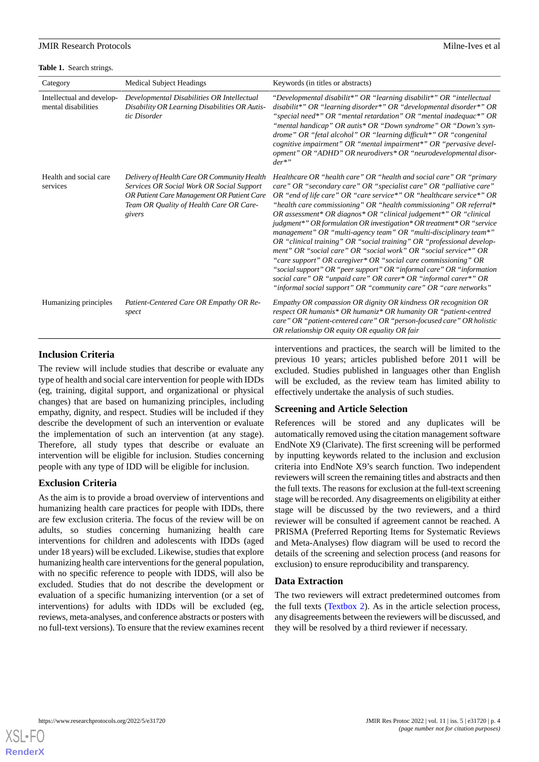#### **JMIR Research Protocols** Milne-Ives et al. **Milne-Ives et al.** Milne-Ives et al. **Milne-Ives et al.** Milne-Ives et al. **Milne-Ives et al. Milne-Ives et al. Milne-Ives et al. Milne-Ives et al. Milne-Ives et al. M**

<span id="page-3-0"></span>**Table 1.** Search strings.

Health and social care

services

| <b>able 1.</b> Search strings.                   |                                                                                                             |                                                                                                                                                                                                                                                                                                                                                                                                                                                                                                     |
|--------------------------------------------------|-------------------------------------------------------------------------------------------------------------|-----------------------------------------------------------------------------------------------------------------------------------------------------------------------------------------------------------------------------------------------------------------------------------------------------------------------------------------------------------------------------------------------------------------------------------------------------------------------------------------------------|
| Category                                         | Medical Subject Headings                                                                                    | Keywords (in titles or abstracts)                                                                                                                                                                                                                                                                                                                                                                                                                                                                   |
| Intellectual and develop-<br>mental disabilities | Developmental Disabilities OR Intellectual<br>Disability OR Learning Disabilities OR Autis-<br>tic Disorder | "Developmental disabilit*" OR "learning disabilit*" OR "intellectual<br>disabilit*" OR "learning disorder*" OR "developmental disorder*" OR<br>"special need*" OR "mental retardation" OR "mental inadequac*" OR<br>"mental handicap" OR autis* OR "Down syndrome" OR "Down's syn-<br>drome" OR "fetal alcohol" OR "learning difficult*" OR "congenital<br>cognitive impairment" $OR$ "mental impairment" $OR$ "pervasive devel-<br>opment" OR "ADHD" OR neurodivers* OR "neurodevelopmental disor- |

*der\*"*

| Delivery of Health Care OR Community Health<br>Services OR Social Work OR Social Support<br>OR Patient Care Management OR Patient Care<br>Team OR Quality of Health Care OR Care-<br>givers | Healthcare OR "health care" OR "health and social care" OR "primary"<br>care" OR "secondary care" OR "specialist care" OR "palliative care"<br>OR "end of life care" OR "care service*" OR "healthcare service*" OR<br>"health care commissioning" $OR$ "health commissioning" $OR$ referral*<br>OR assessment* OR diagnos* OR "clinical judgement*" OR "clinical<br>judgment*" OR formulation OR investigation* OR treatment* OR "service"<br>management" OR "multi-agency team" OR "multi-disciplinary team*"<br>OR "clinical training" OR "social training" OR "professional develop-<br>ment" OR "social care" OR "social work" OR "social service*" OR<br>"care support" OR caregiver* OR "social care commissioning" OR<br>"social support" OR "peer support" OR "informal care" OR "information"<br>social care" OR "unpaid care" OR carer* OR "informal carer*" OR<br>"informal social support" OR "community care" OR "care networks" |
|---------------------------------------------------------------------------------------------------------------------------------------------------------------------------------------------|------------------------------------------------------------------------------------------------------------------------------------------------------------------------------------------------------------------------------------------------------------------------------------------------------------------------------------------------------------------------------------------------------------------------------------------------------------------------------------------------------------------------------------------------------------------------------------------------------------------------------------------------------------------------------------------------------------------------------------------------------------------------------------------------------------------------------------------------------------------------------------------------------------------------------------------------|
| Patient-Centered Care OR Empathy OR Re-                                                                                                                                                     | Empathy OR compassion OR dignity OR kindness OR recognition OR                                                                                                                                                                                                                                                                                                                                                                                                                                                                                                                                                                                                                                                                                                                                                                                                                                                                                 |

*Empathy OR compassion OR dignity OR kindness OR recognition OR respect OR humanis\* OR humaniz\* OR humanity OR "patient-centred care" OR "patient-centered care" OR "person-focused care" OR holistic OR relationship OR equity OR equality OR fair*

#### **Inclusion Criteria**

Humanizing principles

The review will include studies that describe or evaluate any type of health and social care intervention for people with IDDs (eg, training, digital support, and organizational or physical changes) that are based on humanizing principles, including empathy, dignity, and respect. Studies will be included if they describe the development of such an intervention or evaluate the implementation of such an intervention (at any stage). Therefore, all study types that describe or evaluate an intervention will be eligible for inclusion. Studies concerning people with any type of IDD will be eligible for inclusion.

*spect*

#### **Exclusion Criteria**

As the aim is to provide a broad overview of interventions and humanizing health care practices for people with IDDs, there are few exclusion criteria. The focus of the review will be on adults, so studies concerning humanizing health care interventions for children and adolescents with IDDs (aged under 18 years) will be excluded. Likewise, studies that explore humanizing health care interventions for the general population, with no specific reference to people with IDDS, will also be excluded. Studies that do not describe the development or evaluation of a specific humanizing intervention (or a set of interventions) for adults with IDDs will be excluded (eg, reviews, meta-analyses, and conference abstracts or posters with no full-text versions). To ensure that the review examines recent interventions and practices, the search will be limited to the previous 10 years; articles published before 2011 will be excluded. Studies published in languages other than English will be excluded, as the review team has limited ability to effectively undertake the analysis of such studies.

#### **Screening and Article Selection**

References will be stored and any duplicates will be automatically removed using the citation management software EndNote X9 (Clarivate). The first screening will be performed by inputting keywords related to the inclusion and exclusion criteria into EndNote X9's search function. Two independent reviewers will screen the remaining titles and abstracts and then the full texts. The reasons for exclusion at the full-text screening stage will be recorded. Any disagreements on eligibility at either stage will be discussed by the two reviewers, and a third reviewer will be consulted if agreement cannot be reached. A PRISMA (Preferred Reporting Items for Systematic Reviews and Meta-Analyses) flow diagram will be used to record the details of the screening and selection process (and reasons for exclusion) to ensure reproducibility and transparency.

#### **Data Extraction**

The two reviewers will extract predetermined outcomes from the full texts ([Textbox 2\)](#page-4-0). As in the article selection process, any disagreements between the reviewers will be discussed, and they will be resolved by a third reviewer if necessary.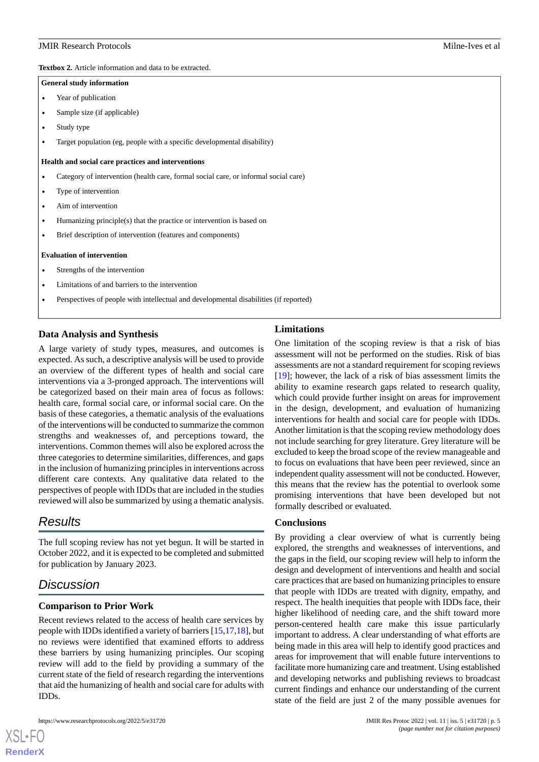#### **JMIR Research Protocols** Milne-Ives et al. **Milne-Ives et al.** Milne-Ives et al. **Milne-Ives et al.** Milne-Ives et al. **Milne-Ives et al. Milne-Ives et al. Milne-Ives et al. Milne-Ives et al. Milne-Ives et al. M**

<span id="page-4-0"></span>**Textbox 2.** Article information and data to be extracted.

#### **General study information**

- Year of publication
- Sample size (if applicable)
- Study type
- Target population (eg, people with a specific developmental disability)

#### **Health and social care practices and interventions**

- Category of intervention (health care, formal social care, or informal social care)
- Type of intervention
- Aim of intervention
- Humanizing principle(s) that the practice or intervention is based on
- Brief description of intervention (features and components)

#### **Evaluation of intervention**

- Strengths of the intervention
- Limitations of and barriers to the intervention
- Perspectives of people with intellectual and developmental disabilities (if reported)

#### **Data Analysis and Synthesis**

A large variety of study types, measures, and outcomes is expected. As such, a descriptive analysis will be used to provide an overview of the different types of health and social care interventions via a 3-pronged approach. The interventions will be categorized based on their main area of focus as follows: health care, formal social care, or informal social care. On the basis of these categories, a thematic analysis of the evaluations of the interventions will be conducted to summarize the common strengths and weaknesses of, and perceptions toward, the interventions. Common themes will also be explored across the three categories to determine similarities, differences, and gaps in the inclusion of humanizing principles in interventions across different care contexts. Any qualitative data related to the perspectives of people with IDDs that are included in the studies reviewed will also be summarized by using a thematic analysis.

## *Results*

The full scoping review has not yet begun. It will be started in October 2022, and it is expected to be completed and submitted for publication by January 2023.

## *Discussion*

[XSL](http://www.w3.org/Style/XSL)•FO **[RenderX](http://www.renderx.com/)**

#### **Comparison to Prior Work**

Recent reviews related to the access of health care services by people with IDDs identified a variety of barriers [\[15](#page-6-4),[17](#page-6-2)[,18](#page-6-3)], but no reviews were identified that examined efforts to address these barriers by using humanizing principles. Our scoping review will add to the field by providing a summary of the current state of the field of research regarding the interventions that aid the humanizing of health and social care for adults with IDDs.

#### **Limitations**

One limitation of the scoping review is that a risk of bias assessment will not be performed on the studies. Risk of bias assessments are not a standard requirement for scoping reviews [[19\]](#page-6-6); however, the lack of a risk of bias assessment limits the ability to examine research gaps related to research quality, which could provide further insight on areas for improvement in the design, development, and evaluation of humanizing interventions for health and social care for people with IDDs. Another limitation is that the scoping review methodology does not include searching for grey literature. Grey literature will be excluded to keep the broad scope of the review manageable and to focus on evaluations that have been peer reviewed, since an independent quality assessment will not be conducted. However, this means that the review has the potential to overlook some promising interventions that have been developed but not formally described or evaluated.

#### **Conclusions**

By providing a clear overview of what is currently being explored, the strengths and weaknesses of interventions, and the gaps in the field, our scoping review will help to inform the design and development of interventions and health and social care practices that are based on humanizing principles to ensure that people with IDDs are treated with dignity, empathy, and respect. The health inequities that people with IDDs face, their higher likelihood of needing care, and the shift toward more person-centered health care make this issue particularly important to address. A clear understanding of what efforts are being made in this area will help to identify good practices and areas for improvement that will enable future interventions to facilitate more humanizing care and treatment. Using established and developing networks and publishing reviews to broadcast current findings and enhance our understanding of the current state of the field are just 2 of the many possible avenues for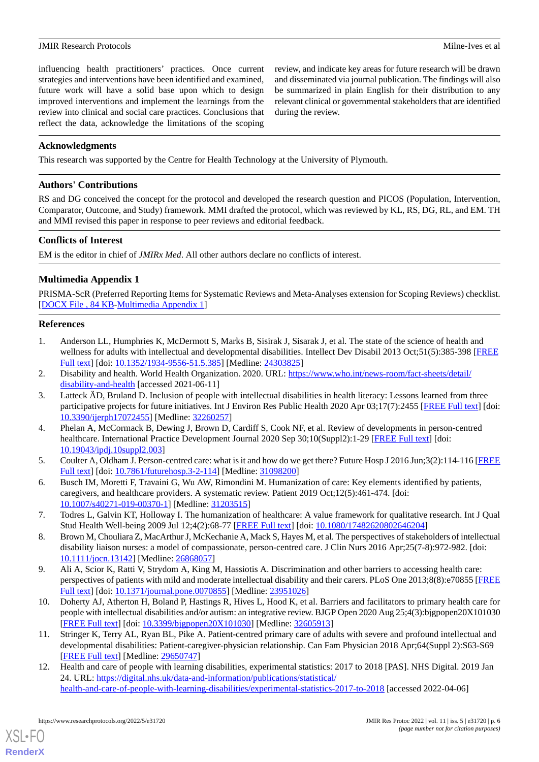#### JMIR Research Protocols **Milne-Ives et al.** Milne-Ives et al. Milne-Ives et al. Milne-Ives et al. Milne-Ives et al. Milne-Ives et al. Milne-Ives et al. Milne-Ives et al. Milne-Ives et al. Milne-Ives et al. Milne-Ives et al

influencing health practitioners' practices. Once current strategies and interventions have been identified and examined, future work will have a solid base upon which to design improved interventions and implement the learnings from the review into clinical and social care practices. Conclusions that reflect the data, acknowledge the limitations of the scoping

review, and indicate key areas for future research will be drawn and disseminated via journal publication. The findings will also be summarized in plain English for their distribution to any relevant clinical or governmental stakeholders that are identified during the review.

#### **Acknowledgments**

This research was supported by the Centre for Health Technology at the University of Plymouth.

#### **Authors' Contributions**

RS and DG conceived the concept for the protocol and developed the research question and PICOS (Population, Intervention, Comparator, Outcome, and Study) framework. MMI drafted the protocol, which was reviewed by KL, RS, DG, RL, and EM. TH and MMI revised this paper in response to peer reviews and editorial feedback.

#### **Conflicts of Interest**

<span id="page-5-10"></span>EM is the editor in chief of *JMIRx Med*. All other authors declare no conflicts of interest.

#### **Multimedia Appendix 1**

<span id="page-5-0"></span>PRISMA-ScR (Preferred Reporting Items for Systematic Reviews and Meta-Analyses extension for Scoping Reviews) checklist. [[DOCX File , 84 KB](https://jmir.org/api/download?alt_name=resprot_v11i5e31720_app1.docx&filename=3bba234dafd04b44c73ed8ca2218a240.docx)-[Multimedia Appendix 1\]](https://jmir.org/api/download?alt_name=resprot_v11i5e31720_app1.docx&filename=3bba234dafd04b44c73ed8ca2218a240.docx)

#### **References**

- <span id="page-5-2"></span><span id="page-5-1"></span>1. Anderson LL, Humphries K, McDermott S, Marks B, Sisirak J, Sisarak J, et al. The state of the science of health and wellness for adults with intellectual and developmental disabilities. Intellect Dev Disabil 2013 Oct;51(5):385-398 [\[FREE](http://europepmc.org/abstract/MED/24303825) [Full text\]](http://europepmc.org/abstract/MED/24303825) [doi: [10.1352/1934-9556-51.5.385](http://dx.doi.org/10.1352/1934-9556-51.5.385)] [Medline: [24303825\]](http://www.ncbi.nlm.nih.gov/entrez/query.fcgi?cmd=Retrieve&db=PubMed&list_uids=24303825&dopt=Abstract)
- 2. Disability and health. World Health Organization. 2020. URL: [https://www.who.int/news-room/fact-sheets/detail/](https://www.who.int/news-room/fact-sheets/detail/disability-and-health) [disability-and-health](https://www.who.int/news-room/fact-sheets/detail/disability-and-health) [accessed 2021-06-11]
- <span id="page-5-3"></span>3. Latteck ÄD, Bruland D. Inclusion of people with intellectual disabilities in health literacy: Lessons learned from three participative projects for future initiatives. Int J Environ Res Public Health 2020 Apr 03;17(7):2455 [\[FREE Full text](https://www.mdpi.com/resolver?pii=ijerph17072455)] [doi: [10.3390/ijerph17072455](http://dx.doi.org/10.3390/ijerph17072455)] [Medline: [32260257\]](http://www.ncbi.nlm.nih.gov/entrez/query.fcgi?cmd=Retrieve&db=PubMed&list_uids=32260257&dopt=Abstract)
- <span id="page-5-5"></span><span id="page-5-4"></span>4. Phelan A, McCormack B, Dewing J, Brown D, Cardiff S, Cook NF, et al. Review of developments in person-centred healthcare. International Practice Development Journal 2020 Sep 30;10(Suppl2):1-29 [[FREE Full text\]](https://www.fons.org/Resources/Documents/Journal/Vol10Suppl2/IPDJ_10(suppl)_3.pdf) [doi: [10.19043/ipdj.10suppl2.003](http://dx.doi.org/10.19043/ipdj.10suppl2.003)]
- <span id="page-5-6"></span>5. Coulter A, Oldham J. Person-centred care: what is it and how do we get there? Future Hosp J 2016 Jun;3(2):114-116 [\[FREE](http://europepmc.org/abstract/MED/31098200) [Full text\]](http://europepmc.org/abstract/MED/31098200) [doi: [10.7861/futurehosp.3-2-114](http://dx.doi.org/10.7861/futurehosp.3-2-114)] [Medline: [31098200](http://www.ncbi.nlm.nih.gov/entrez/query.fcgi?cmd=Retrieve&db=PubMed&list_uids=31098200&dopt=Abstract)]
- <span id="page-5-7"></span>6. Busch IM, Moretti F, Travaini G, Wu AW, Rimondini M. Humanization of care: Key elements identified by patients, caregivers, and healthcare providers. A systematic review. Patient 2019 Oct;12(5):461-474. [doi: [10.1007/s40271-019-00370-1\]](http://dx.doi.org/10.1007/s40271-019-00370-1) [Medline: [31203515\]](http://www.ncbi.nlm.nih.gov/entrez/query.fcgi?cmd=Retrieve&db=PubMed&list_uids=31203515&dopt=Abstract)
- 7. Todres L, Galvin KT, Holloway I. The humanization of healthcare: A value framework for qualitative research. Int J Qual Stud Health Well-being 2009 Jul 12;4(2):68-77 [\[FREE Full text\]](https://www.tandfonline.com/doi/full/10.1080/17482620802646204) [doi: [10.1080/17482620802646204](http://dx.doi.org/10.1080/17482620802646204)]
- 8. Brown M, Chouliara Z, MacArthur J, McKechanie A, Mack S, Hayes M, et al. The perspectives of stakeholders of intellectual disability liaison nurses: a model of compassionate, person-centred care. J Clin Nurs 2016 Apr;25(7-8):972-982. [doi: [10.1111/jocn.13142](http://dx.doi.org/10.1111/jocn.13142)] [Medline: [26868057](http://www.ncbi.nlm.nih.gov/entrez/query.fcgi?cmd=Retrieve&db=PubMed&list_uids=26868057&dopt=Abstract)]
- <span id="page-5-8"></span>9. Ali A, Scior K, Ratti V, Strydom A, King M, Hassiotis A. Discrimination and other barriers to accessing health care: perspectives of patients with mild and moderate intellectual disability and their carers. PLoS One 2013;8(8):e70855 [\[FREE](https://dx.plos.org/10.1371/journal.pone.0070855) [Full text\]](https://dx.plos.org/10.1371/journal.pone.0070855) [doi: [10.1371/journal.pone.0070855](http://dx.doi.org/10.1371/journal.pone.0070855)] [Medline: [23951026](http://www.ncbi.nlm.nih.gov/entrez/query.fcgi?cmd=Retrieve&db=PubMed&list_uids=23951026&dopt=Abstract)]
- <span id="page-5-9"></span>10. Doherty AJ, Atherton H, Boland P, Hastings R, Hives L, Hood K, et al. Barriers and facilitators to primary health care for people with intellectual disabilities and/or autism: an integrative review. BJGP Open 2020 Aug 25;4(3):bjgpopen20X101030 [[FREE Full text](http://bjgpopen.org/cgi/pmidlookup?view=long&pmid=32605913)] [doi: [10.3399/bjgpopen20X101030](http://dx.doi.org/10.3399/bjgpopen20X101030)] [Medline: [32605913\]](http://www.ncbi.nlm.nih.gov/entrez/query.fcgi?cmd=Retrieve&db=PubMed&list_uids=32605913&dopt=Abstract)
- 11. Stringer K, Terry AL, Ryan BL, Pike A. Patient-centred primary care of adults with severe and profound intellectual and developmental disabilities: Patient-caregiver-physician relationship. Can Fam Physician 2018 Apr;64(Suppl 2):S63-S69 [[FREE Full text](http://www.cfp.ca/cgi/pmidlookup?view=long&pmid=29650747)] [Medline: [29650747](http://www.ncbi.nlm.nih.gov/entrez/query.fcgi?cmd=Retrieve&db=PubMed&list_uids=29650747&dopt=Abstract)]
- 12. Health and care of people with learning disabilities, experimental statistics: 2017 to 2018 [PAS]. NHS Digital. 2019 Jan 24. URL: [https://digital.nhs.uk/data-and-information/publications/statistical/](https://digital.nhs.uk/data-and-information/publications/statistical/health-and-care-of-people-with-learning-disabilities/experimental-statistics-2017-to-2018) [health-and-care-of-people-with-learning-disabilities/experimental-statistics-2017-to-2018](https://digital.nhs.uk/data-and-information/publications/statistical/health-and-care-of-people-with-learning-disabilities/experimental-statistics-2017-to-2018) [accessed 2022-04-06]

[XSL](http://www.w3.org/Style/XSL)•FO **[RenderX](http://www.renderx.com/)**